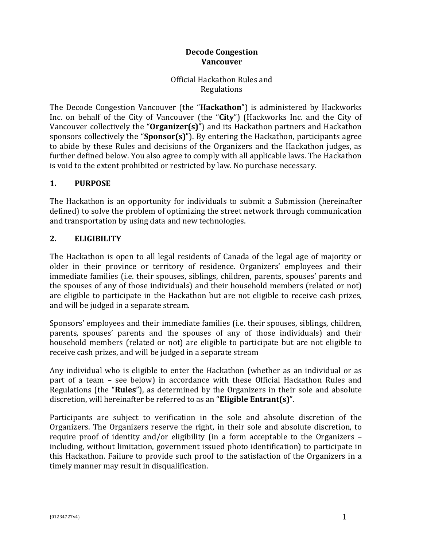### **Decode Congestion Vancouver**

Official Hackathon Rules and Regulations

The Decode Congestion Vancouver (the "**Hackathon**") is administered by Hackworks Inc. on behalf of the City of Vancouver (the "**City**") (Hackworks Inc. and the City of Vancouver collectively the "**Organizer(s)**") and its Hackathon partners and Hackathon sponsors collectively the "**Sponsor(s)**"). By entering the Hackathon, participants agree to abide by these Rules and decisions of the Organizers and the Hackathon judges, as further defined below. You also agree to comply with all applicable laws. The Hackathon is void to the extent prohibited or restricted by law. No purchase necessary.

# **1. PURPOSE**

The Hackathon is an opportunity for individuals to submit a Submission (hereinafter defined) to solve the problem of optimizing the street network through communication and transportation by using data and new technologies.

# **2. ELIGIBILITY**

The Hackathon is open to all legal residents of Canada of the legal age of majority or older in their province or territory of residence. Organizers' employees and their immediate families (i.e. their spouses, siblings, children, parents, spouses' parents and the spouses of any of those individuals) and their household members (related or not) are eligible to participate in the Hackathon but are not eligible to receive cash prizes, and will be judged in a separate stream.

Sponsors' employees and their immediate families (i.e. their spouses, siblings, children, parents, spouses' parents and the spouses of any of those individuals) and their household members (related or not) are eligible to participate but are not eligible to receive cash prizes, and will be judged in a separate stream

Any individual who is eligible to enter the Hackathon (whether as an individual or as part of a team – see below) in accordance with these Official Hackathon Rules and Regulations (the "**Rules**"), as determined by the Organizers in their sole and absolute discretion, will hereinafter be referred to as an "**Eligible Entrant(s)**".

Participants are subject to verification in the sole and absolute discretion of the Organizers. The Organizers reserve the right, in their sole and absolute discretion, to require proof of identity and/or eligibility (in a form acceptable to the Organizers – including, without limitation, government issued photo identification) to participate in this Hackathon. Failure to provide such proof to the satisfaction of the Organizers in a timely manner may result in disqualification.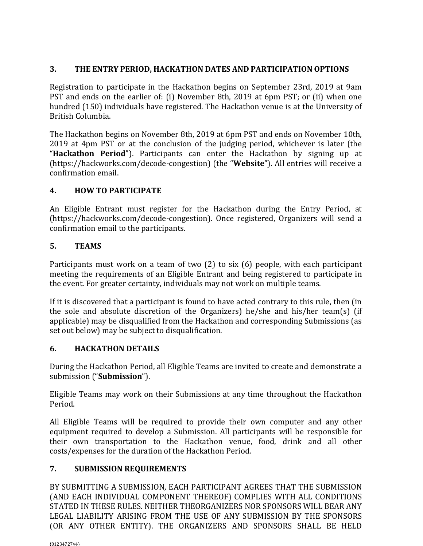# **3. THE ENTRY PERIOD, HACKATHON DATES AND PARTICIPATION OPTIONS**

Registration to participate in the Hackathon begins on September 23rd, 2019 at 9am PST and ends on the earlier of: (i) November 8th, 2019 at 6pm PST; or (ii) when one hundred (150) individuals have registered. The Hackathon venue is at the University of British Columbia.

The Hackathon begins on November 8th, 2019 at 6pm PST and ends on November 10th, 2019 at 4pm PST or at the conclusion of the judging period, whichever is later (the "**Hackathon Period**"). Participants can enter the Hackathon by signing up at (https://hackworks.com/decode-congestion) (the "**Website**"). All entries will receive a confirmation email.

### **4. HOW TO PARTICIPATE**

An Eligible Entrant must register for the Hackathon during the Entry Period, at (https://hackworks.com/decode-congestion). Once registered, Organizers will send a confirmation email to the participants.

# **5. TEAMS**

Participants must work on a team of two (2) to six (6) people, with each participant meeting the requirements of an Eligible Entrant and being registered to participate in the event. For greater certainty, individuals may not work on multiple teams.

If it is discovered that a participant is found to have acted contrary to this rule, then (in the sole and absolute discretion of the Organizers) he/she and his/her team(s) (if applicable) may be disqualified from the Hackathon and corresponding Submissions (as set out below) may be subject to disqualification.

# **6. HACKATHON DETAILS**

During the Hackathon Period, all Eligible Teams are invited to create and demonstrate a submission ("**Submission**").

Eligible Teams may work on their Submissions at any time throughout the Hackathon Period.

All Eligible Teams will be required to provide their own computer and any other equipment required to develop a Submission. All participants will be responsible for their own transportation to the Hackathon venue, food, drink and all other costs/expenses for the duration of the Hackathon Period.

# **7. SUBMISSION REQUIREMENTS**

BY SUBMITTING A SUBMISSION, EACH PARTICIPANT AGREES THAT THE SUBMISSION (AND EACH INDIVIDUAL COMPONENT THEREOF) COMPLIES WITH ALL CONDITIONS STATED IN THESE RULES. NEITHER THEORGANIZERS NOR SPONSORS WILL BEAR ANY LEGAL LIABILITY ARISING FROM THE USE OF ANY SUBMISSION BY THE SPONSORS (OR ANY OTHER ENTITY). THE ORGANIZERS AND SPONSORS SHALL BE HELD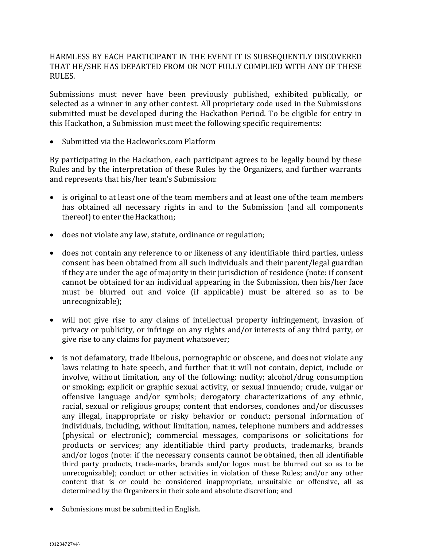HARMLESS BY EACH PARTICIPANT IN THE EVENT IT IS SUBSEQUENTLY DISCOVERED THAT HE/SHE HAS DEPARTED FROM OR NOT FULLY COMPLIED WITH ANY OF THESE RULES.

Submissions must never have been previously published, exhibited publically, or selected as a winner in any other contest. All proprietary code used in the Submissions submitted must be developed during the Hackathon Period. To be eligible for entry in this Hackathon, a Submission must meet the following specific requirements:

• Submitted via the Hackworks.com Platform

By participating in the Hackathon, each participant agrees to be legally bound by these Rules and by the interpretation of these Rules by the Organizers, and further warrants and represents that his/her team's Submission:

- is original to at least one of the team members and at least one ofthe team members has obtained all necessary rights in and to the Submission (and all components thereof) to enter the Hackathon;
- does not violate any law, statute, ordinance or regulation;
- does not contain any reference to or likeness of any identifiable third parties, unless consent has been obtained from all such individuals and their parent/legal guardian if they are under the age of majority in their jurisdiction of residence (note: if consent cannot be obtained for an individual appearing in the Submission, then his/her face must be blurred out and voice (if applicable) must be altered so as to be unrecognizable);
- will not give rise to any claims of intellectual property infringement, invasion of privacy or publicity, or infringe on any rights and/or interests of any third party, or give rise to any claims for payment whatsoever;
- is not defamatory, trade libelous, pornographic or obscene, and does not violate any laws relating to hate speech, and further that it will not contain, depict, include or involve, without limitation, any of the following: nudity; alcohol/drug consumption or smoking; explicit or graphic sexual activity, or sexual innuendo; crude, vulgar or offensive language and/or symbols; derogatory characterizations of any ethnic, racial, sexual or religious groups; content that endorses, condones and/or discusses any illegal, inappropriate or risky behavior or conduct; personal information of individuals, including, without limitation, names, telephone numbers and addresses (physical or electronic); commercial messages, comparisons or solicitations for products or services; any identifiable third party products, trademarks, brands and/or logos (note: if the necessary consents cannot be obtained, then all identifiable third party products, trade-marks, brands and/or logos must be blurred out so as to be unrecognizable); conduct or other activities in violation of these Rules; and/or any other content that is or could be considered inappropriate, unsuitable or offensive, all as determined by the Organizers in their sole and absolute discretion; and
- Submissions must be submitted in English.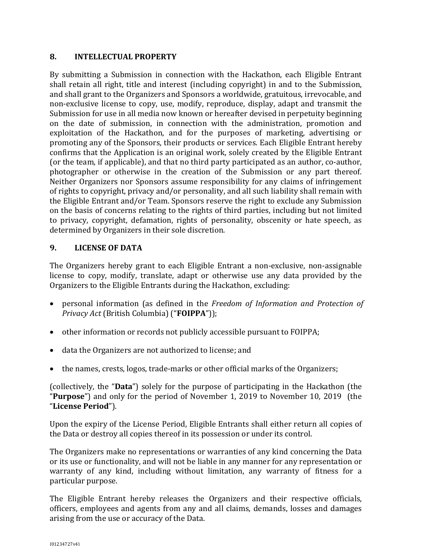### **8. INTELLECTUAL PROPERTY**

By submitting a Submission in connection with the Hackathon, each Eligible Entrant shall retain all right, title and interest (including copyright) in and to the Submission, and shall grant to the Organizers and Sponsors a worldwide, gratuitous, irrevocable, and non-exclusive license to copy, use, modify, reproduce, display, adapt and transmit the Submission for use in all media now known or hereafter devised in perpetuity beginning on the date of submission, in connection with the administration, promotion and exploitation of the Hackathon, and for the purposes of marketing, advertising or promoting any of the Sponsors, their products or services. Each Eligible Entrant hereby confirms that the Application is an original work, solely created by the Eligible Entrant (or the team, if applicable), and that no third party participated as an author, co-author, photographer or otherwise in the creation of the Submission or any part thereof. Neither Organizers nor Sponsors assume responsibility for any claims of infringement of rights to copyright, privacy and/or personality, and all such liability shall remain with the Eligible Entrant and/or Team. Sponsors reserve the right to exclude any Submission on the basis of concerns relating to the rights of third parties, including but not limited to privacy, copyright, defamation, rights of personality, obscenity or hate speech, as determined by Organizers in their sole discretion.

### **9. LICENSE OF DATA**

The Organizers hereby grant to each Eligible Entrant a non-exclusive, non-assignable license to copy, modify, translate, adapt or otherwise use any data provided by the Organizers to the Eligible Entrants during the Hackathon, excluding:

- personal information (as defined in the *Freedom of Information and Protection of Privacy Act* (British Columbia) ("**FOIPPA**"));
- other information or records not publicly accessible pursuant to FOIPPA;
- data the Organizers are not authorized to license; and
- the names, crests, logos, trade-marks or other official marks of the Organizers;

(collectively, the "**Data**") solely for the purpose of participating in the Hackathon (the "**Purpose**") and only for the period of November 1, 2019 to November 10, 2019 (the "**License Period**").

Upon the expiry of the License Period, Eligible Entrants shall either return all copies of the Data or destroy all copies thereof in its possession or under its control.

The Organizers make no representations or warranties of any kind concerning the Data or its use or functionality, and will not be liable in any manner for any representation or warranty of any kind, including without limitation, any warranty of fitness for a particular purpose.

The Eligible Entrant hereby releases the Organizers and their respective officials, officers, employees and agents from any and all claims, demands, losses and damages arising from the use or accuracy of the Data.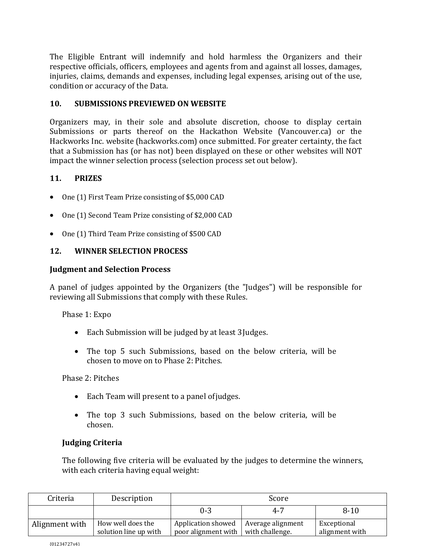The Eligible Entrant will indemnify and hold harmless the Organizers and their respective officials, officers, employees and agents from and against all losses, damages, injuries, claims, demands and expenses, including legal expenses, arising out of the use, condition or accuracy of the Data.

#### **10. SUBMISSIONS PREVIEWED ON WEBSITE**

Organizers may, in their sole and absolute discretion, choose to display certain Submissions or parts thereof on the Hackathon Website (Vancouver.ca) or the Hackworks Inc. website (hackworks.com) once submitted. For greater certainty, the fact that a Submission has (or has not) been displayed on these or other websites will NOT impact the winner selection process (selection process set out below).

### **11. PRIZES**

- One (1) First Team Prize consisting of \$5,000 CAD
- One (1) Second Team Prize consisting of \$2,000 CAD
- One (1) Third Team Prize consisting of \$500 CAD

#### **12. WINNER SELECTION PROCESS**

#### **Judgment and Selection Process**

A panel of judges appointed by the Organizers (the "Judges") will be responsible for reviewing all Submissions that comply with these Rules.

Phase 1: Expo

- Each Submission will be judged by at least 3Judges.
- The top 5 such Submissions, based on the below criteria, will be chosen to move on to Phase 2: Pitches.

Phase 2: Pitches

- Each Team will present to a panel of judges.
- The top 3 such Submissions, based on the below criteria, will be chosen.

### **Judging Criteria**

The following five criteria will be evaluated by the judges to determine the winners, with each criteria having equal weight:

| Criteria       | Description                                | Score                                     |                                      |                               |
|----------------|--------------------------------------------|-------------------------------------------|--------------------------------------|-------------------------------|
|                |                                            | $0 - 3$                                   | $4 - 7$                              | $8 - 10$                      |
| Alignment with | How well does the<br>solution line up with | Application showed<br>poor alignment with | Average alignment<br>with challenge. | Exceptional<br>alignment with |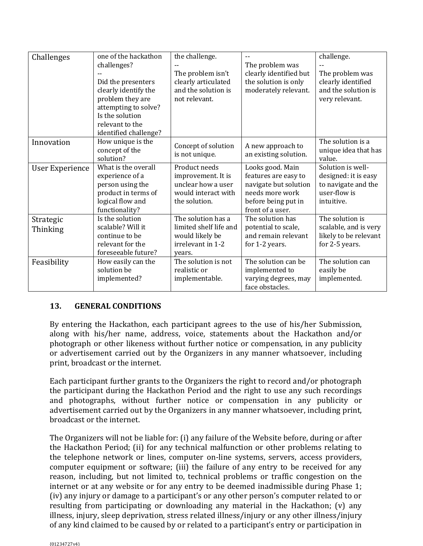| Challenges             | one of the hackathon<br>challenges?<br>Did the presenters<br>clearly identify the<br>problem they are<br>attempting to solve?<br>Is the solution<br>relevant to the<br>identified challenge? | the challenge.<br>The problem isn't<br>clearly articulated<br>and the solution is<br>not relevant. | The problem was<br>clearly identified but<br>the solution is only<br>moderately relevant.                                       | challenge.<br>The problem was<br>clearly identified<br>and the solution is<br>very relevant.   |
|------------------------|----------------------------------------------------------------------------------------------------------------------------------------------------------------------------------------------|----------------------------------------------------------------------------------------------------|---------------------------------------------------------------------------------------------------------------------------------|------------------------------------------------------------------------------------------------|
| Innovation             | How unique is the<br>concept of the<br>solution?                                                                                                                                             | Concept of solution<br>is not unique.                                                              | A new approach to<br>an existing solution.                                                                                      | The solution is a<br>unique idea that has<br>value.                                            |
| <b>User Experience</b> | What is the overall<br>experience of a<br>person using the<br>product in terms of<br>logical flow and<br>functionality?                                                                      | Product needs<br>improvement. It is<br>unclear how a user<br>would interact with<br>the solution.  | Looks good. Main<br>features are easy to<br>navigate but solution<br>needs more work<br>before being put in<br>front of a user. | Solution is well-<br>designed: it is easy<br>to navigate and the<br>user-flow is<br>intuitive. |
| Strategic<br>Thinking  | Is the solution<br>scalable? Will it<br>continue to be<br>relevant for the<br>foreseeable future?                                                                                            | The solution has a<br>limited shelf life and<br>would likely be<br>irrelevant in 1-2<br>vears.     | The solution has<br>potential to scale,<br>and remain relevant<br>for 1-2 years.                                                | The solution is<br>scalable, and is very<br>likely to be relevant<br>for 2-5 years.            |
| Feasibility            | How easily can the<br>solution be<br>implemented?                                                                                                                                            | The solution is not<br>realistic or<br>implementable.                                              | The solution can be<br>implemented to<br>varying degrees, may<br>face obstacles.                                                | The solution can<br>easily be<br>implemented.                                                  |

### **13. GENERAL CONDITIONS**

By entering the Hackathon, each participant agrees to the use of his/her Submission, along with his/her name, address, voice, statements about the Hackathon and/or photograph or other likeness without further notice or compensation, in any publicity or advertisement carried out by the Organizers in any manner whatsoever, including print, broadcast or the internet.

Each participant further grants to the Organizers the right to record and/or photograph the participant during the Hackathon Period and the right to use any such recordings and photographs, without further notice or compensation in any publicity or advertisement carried out by the Organizers in any manner whatsoever, including print, broadcast or the internet.

The Organizers will not be liable for: (i) any failure of the Website before, during or after the Hackathon Period; (ii) for any technical malfunction or other problems relating to the telephone network or lines, computer on-line systems, servers, access providers, computer equipment or software; (iii) the failure of any entry to be received for any reason, including, but not limited to, technical problems or traffic congestion on the internet or at any website or for any entry to be deemed inadmissible during Phase 1; (iv) any injury or damage to a participant's or any other person's computer related to or resulting from participating or downloading any material in the Hackathon; (v) any illness, injury, sleep deprivation, stress related illness/injury or any other illness/injury of any kind claimed to be caused by or related to a participant's entry or participation in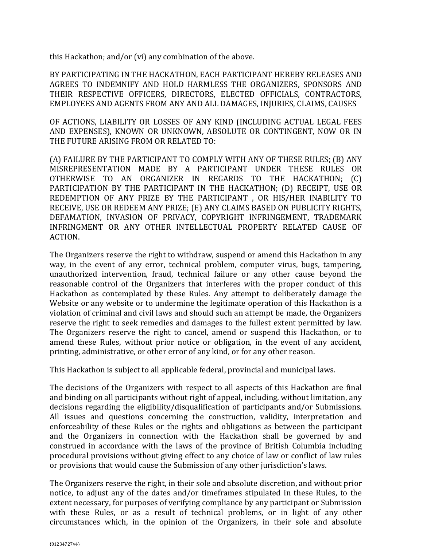this Hackathon; and/or (vi) any combination of the above.

BY PARTICIPATING IN THE HACKATHON, EACH PARTICIPANT HEREBY RELEASES AND AGREES TO INDEMNIFY AND HOLD HARMLESS THE ORGANIZERS, SPONSORS AND THEIR RESPECTIVE OFFICERS, DIRECTORS, ELECTED OFFICIALS, CONTRACTORS, EMPLOYEES AND AGENTS FROM ANY AND ALL DAMAGES, INJURIES, CLAIMS, CAUSES

OF ACTIONS, LIABILITY OR LOSSES OF ANY KIND (INCLUDING ACTUAL LEGAL FEES AND EXPENSES), KNOWN OR UNKNOWN, ABSOLUTE OR CONTINGENT, NOW OR IN THE FUTURE ARISING FROM OR RELATED TO:

(A) FAILURE BY THE PARTICIPANT TO COMPLY WITH ANY OF THESE RULES; (B) ANY MISREPRESENTATION MADE BY A PARTICIPANT UNDER THESE RULES OR OTHERWISE TO AN ORGANIZER IN REGARDS TO THE HACKATHON; (C) PARTICIPATION BY THE PARTICIPANT IN THE HACKATHON; (D) RECEIPT, USE OR REDEMPTION OF ANY PRIZE BY THE PARTICIPANT , OR HIS/HER INABILITY TO RECEIVE, USE OR REDEEM ANY PRIZE; (E) ANY CLAIMS BASED ON PUBLICITY RIGHTS, DEFAMATION, INVASION OF PRIVACY, COPYRIGHT INFRINGEMENT, TRADEMARK INFRINGMENT OR ANY OTHER INTELLECTUAL PROPERTY RELATED CAUSE OF ACTION.

The Organizers reserve the right to withdraw, suspend or amend this Hackathon in any way, in the event of any error, technical problem, computer virus, bugs, tampering, unauthorized intervention, fraud, technical failure or any other cause beyond the reasonable control of the Organizers that interferes with the proper conduct of this Hackathon as contemplated by these Rules. Any attempt to deliberately damage the Website or any website or to undermine the legitimate operation of this Hackathon is a violation of criminal and civil laws and should such an attempt be made, the Organizers reserve the right to seek remedies and damages to the fullest extent permitted by law. The Organizers reserve the right to cancel, amend or suspend this Hackathon, or to amend these Rules, without prior notice or obligation, in the event of any accident, printing, administrative, or other error of any kind, or for any other reason.

This Hackathon is subject to all applicable federal, provincial and municipal laws.

The decisions of the Organizers with respect to all aspects of this Hackathon are final and binding on all participants without right of appeal, including, without limitation, any decisions regarding the eligibility/disqualification of participants and/or Submissions. All issues and questions concerning the construction, validity, interpretation and enforceability of these Rules or the rights and obligations as between the participant and the Organizers in connection with the Hackathon shall be governed by and construed in accordance with the laws of the province of British Columbia including procedural provisions without giving effect to any choice of law or conflict of law rules or provisions that would cause the Submission of any other jurisdiction's laws.

The Organizers reserve the right, in their sole and absolute discretion, and without prior notice, to adjust any of the dates and/or timeframes stipulated in these Rules, to the extent necessary, for purposes of verifying compliance by any participant or Submission with these Rules, or as a result of technical problems, or in light of any other circumstances which, in the opinion of the Organizers, in their sole and absolute